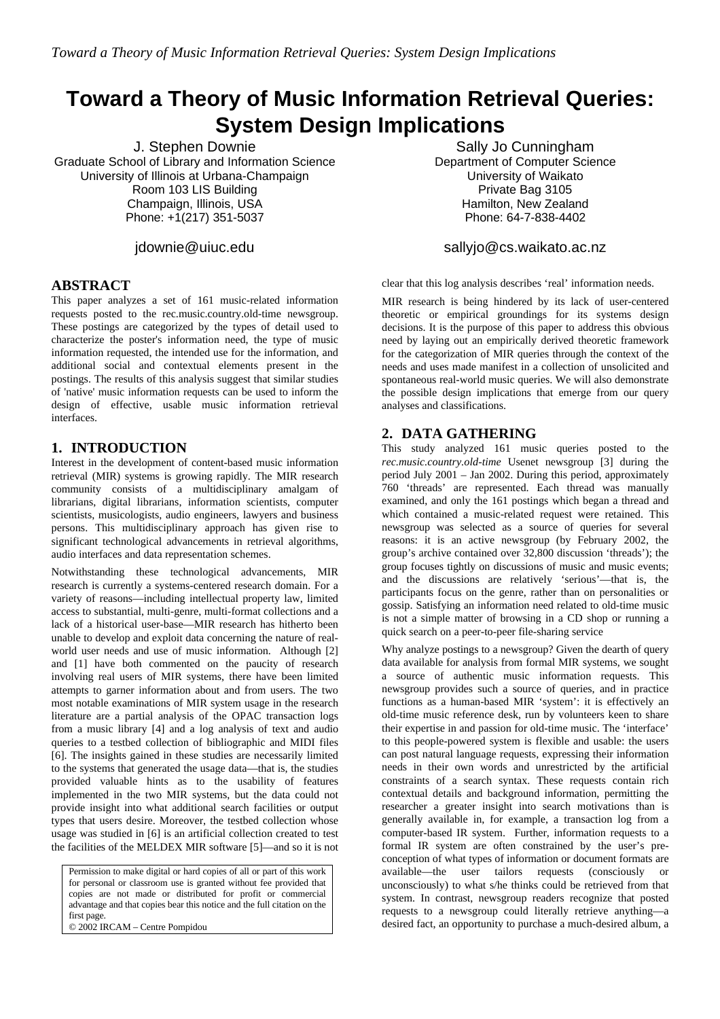# **Toward a Theory of Music Information Retrieval Queries: System Design Implications**

J. Stephen Downie Graduate School of Library and Information Science University of Illinois at Urbana-Champaign Room 103 LIS Building Champaign, Illinois, USA Phone: +1(217) 351-5037

jdownie@uiuc.edu

## **ABSTRACT**

This paper analyzes a set of 161 music-related information requests posted to the rec.music.country.old-time newsgroup. These postings are categorized by the types of detail used to characterize the poster's information need, the type of music information requested, the intended use for the information, and additional social and contextual elements present in the postings. The results of this analysis suggest that similar studies of 'native' music information requests can be used to inform the design of effective, usable music information retrieval interfaces.

## **1. INTRODUCTION**

Interest in the development of content-based music information retrieval (MIR) systems is growing rapidly. The MIR research community consists of a multidisciplinary amalgam of librarians, digital librarians, information scientists, computer scientists, musicologists, audio engineers, lawyers and business persons. This multidisciplinary approach has given rise to significant technological advancements in retrieval algorithms, audio interfaces and data representation schemes.

Notwithstanding these technological advancements, MIR research is currently a systems-centered research domain. For a variety of reasons—including intellectual property law, limited access to substantial, multi-genre, multi-format collections and a lack of a historical user-base—MIR research has hitherto been unable to develop and exploit data concerning the nature of realworld user needs and use of music information. Although [2] and [1] have both commented on the paucity of research involving real users of MIR systems, there have been limited attempts to garner information about and from users. The two most notable examinations of MIR system usage in the research literature are a partial analysis of the OPAC transaction logs from a music library [4] and a log analysis of text and audio queries to a testbed collection of bibliographic and MIDI files [6]. The insights gained in these studies are necessarily limited to the systems that generated the usage data—that is, the studies provided valuable hints as to the usability of features implemented in the two MIR systems, but the data could not provide insight into what additional search facilities or output types that users desire. Moreover, the testbed collection whose usage was studied in [6] is an artificial collection created to test the facilities of the MELDEX MIR software [5]—and so it is not

Permission to make digital or hard copies of all or part of this work for personal or classroom use is granted without fee provided that copies are not made or distributed for profit or commercial advantage and that copies bear this notice and the full citation on the first page.

© 2002 IRCAM – Centre Pompidou

Sally Jo Cunningham Department of Computer Science University of Waikato Private Bag 3105 Hamilton, New Zealand Phone: 64-7-838-4402

#### sallyjo@cs.waikato.ac.nz

clear that this log analysis describes 'real' information needs.

MIR research is being hindered by its lack of user-centered theoretic or empirical groundings for its systems design decisions. It is the purpose of this paper to address this obvious need by laying out an empirically derived theoretic framework for the categorization of MIR queries through the context of the needs and uses made manifest in a collection of unsolicited and spontaneous real-world music queries. We will also demonstrate the possible design implications that emerge from our query analyses and classifications.

## **2. DATA GATHERING**

This study analyzed 161 music queries posted to the *rec.music.country.old-time* Usenet newsgroup [3] during the period July 2001 – Jan 2002. During this period, approximately 760 'threads' are represented. Each thread was manually examined, and only the 161 postings which began a thread and which contained a music-related request were retained. This newsgroup was selected as a source of queries for several reasons: it is an active newsgroup (by February 2002, the group's archive contained over 32,800 discussion 'threads'); the group focuses tightly on discussions of music and music events; and the discussions are relatively 'serious'—that is, the participants focus on the genre, rather than on personalities or gossip. Satisfying an information need related to old-time music is not a simple matter of browsing in a CD shop or running a quick search on a peer-to-peer file-sharing service

Why analyze postings to a newsgroup? Given the dearth of query data available for analysis from formal MIR systems, we sought a source of authentic music information requests. This newsgroup provides such a source of queries, and in practice functions as a human-based MIR 'system': it is effectively an old-time music reference desk, run by volunteers keen to share their expertise in and passion for old-time music. The 'interface' to this people-powered system is flexible and usable: the users can post natural language requests, expressing their information needs in their own words and unrestricted by the artificial constraints of a search syntax. These requests contain rich contextual details and background information, permitting the researcher a greater insight into search motivations than is generally available in, for example, a transaction log from a computer-based IR system. Further, information requests to a formal IR system are often constrained by the user's preconception of what types of information or document formats are available—the user tailors requests (consciously or unconsciously) to what s/he thinks could be retrieved from that system. In contrast, newsgroup readers recognize that posted requests to a newsgroup could literally retrieve anything—a desired fact, an opportunity to purchase a much-desired album, a